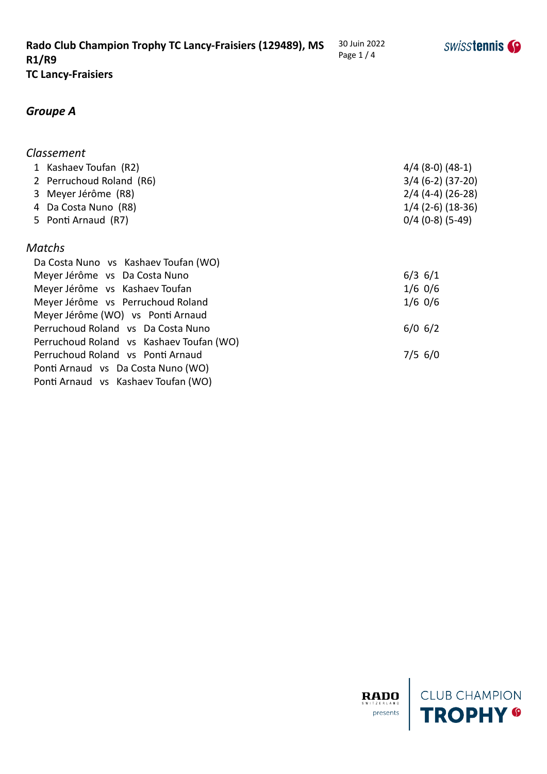#### *Groupe A*

## *Classement* 1 Kashaev Toufan (R2) 4/4 (8-0) (48-1) 2 Perruchoud Roland (R6) 3/4 (6-2) (37-20) 3 Meyer Jérôme (R8) 2/4 (4-4) (26-28) 4 Da Costa Nuno (R8) 1/4 (2-6) (18-36) 5 Ponti Arnaud (R7) 0/4 (0-8) (5-49) *Matchs* Da Costa Nuno vs Kashaev Toufan (WO) Meyer Jérôme vs Da Costa Nuno **6/3 6/1** Meyer Jérôme vs Kashaev Toufan 1/6 0/6 Meyer Jérôme vs Perruchoud Roland 1/6 0/6 Meyer Jérôme (WO) vs Ponti Arnaud Perruchoud Roland vs Da Costa Nuno 6/0 6/2 Perruchoud Roland vs Kashaev Toufan (WO)

Perruchoud Roland vs Ponti Arnaud 7/5 6/0 Ponti Arnaud vs Da Costa Nuno (WO) Ponti Arnaud vs Kashaev Toufan (WO)

**SWISStennis** 

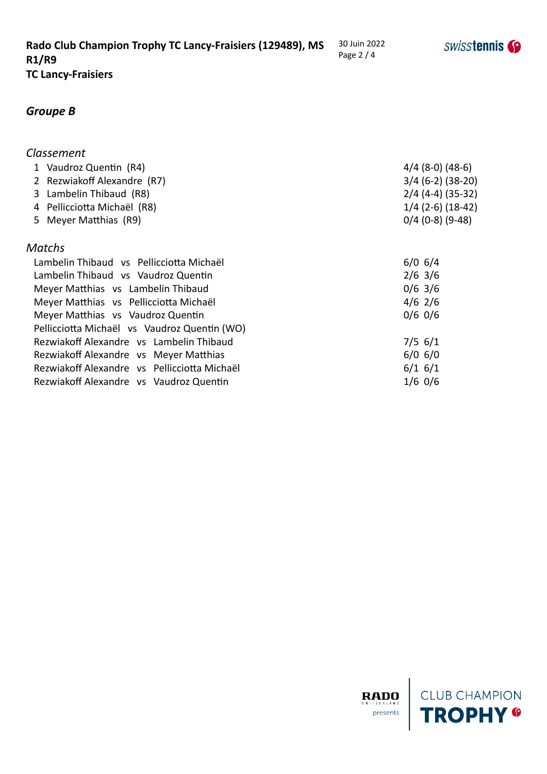# *Groupe B*

#### *Classement*

| 1 Vaudroz Quentin (R4)                   | $4/4$ (8-0) (48-6)  |
|------------------------------------------|---------------------|
| 2 Rezwiakoff Alexandre (R7)              | $3/4$ (6-2) (38-20) |
| 3 Lambelin Thibaud (R8)                  | $2/4$ (4-4) (35-32) |
| 4 Pellicciotta Michaël (R8)              | $1/4$ (2-6) (18-42) |
| 5 Meyer Matthias (R9)                    | $0/4$ (0-8) (9-48)  |
| <b>Matchs</b>                            |                     |
| Lambelin Thibaud vs Pellicciotta Michaël | $6/0$ 6/4           |
| Lambelin Thibaud vs Vaudroz Quentin      | $2/6$ 3/6           |
| Meyer Matthias vs Lambelin Thibaud       | $0/6$ 3/6           |
| Meyer Matthias vs Pellicciotta Michaël   | $4/6$ 2/6           |
| Mever Matthias vs Vaudroz Quentin        | $0/6$ 0/6           |

| <u>viv viv</u> |
|----------------|
|                |
| $7/5$ 6/1      |
| $6/0$ 6/0      |
| $6/1$ 6/1      |
| $1/6$ 0/6      |
|                |



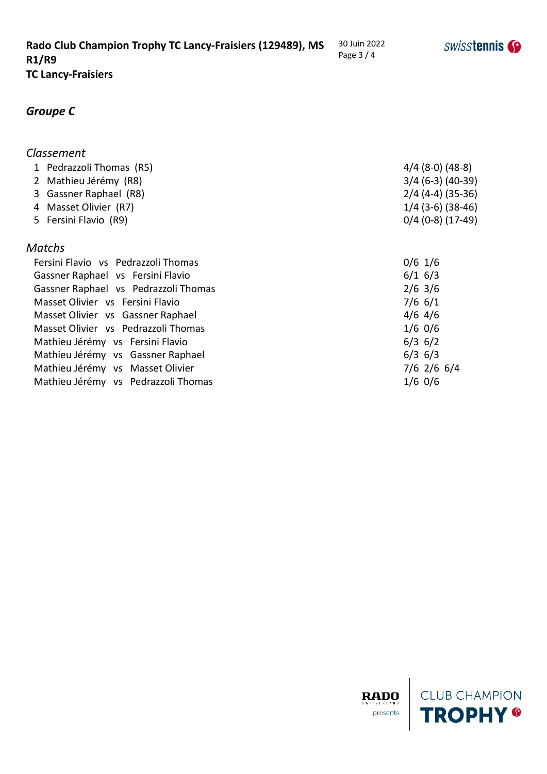# *Groupe C*

| <b>Classement</b>                    |                     |
|--------------------------------------|---------------------|
| 1 Pedrazzoli Thomas (R5)             | $4/4$ (8-0) (48-8)  |
| 2 Mathieu Jérémy (R8)                | $3/4$ (6-3) (40-39) |
| 3 Gassner Raphael (R8)               | $2/4$ (4-4) (35-36) |
| 4 Masset Olivier (R7)                | $1/4$ (3-6) (38-46) |
| 5 Fersini Flavio (R9)                | $0/4$ (0-8) (17-49) |
| Matchs                               |                     |
| Fersini Flavio vs Pedrazzoli Thomas  | $0/6$ 1/6           |
| Gassner Raphael vs Fersini Flavio    | $6/1$ 6/3           |
| Gassner Raphael vs Pedrazzoli Thomas | $2/6$ 3/6           |
| Masset Olivier vs Fersini Flavio     | $7/6$ 6/1           |
| Masset Olivier vs Gassner Raphael    | $4/6$ 4/6           |
| Masset Olivier vs Pedrazzoli Thomas  | $1/6$ 0/6           |
| Mathieu Jérémy vs Fersini Flavio     | $6/3$ 6/2           |
| Mathieu Jérémy vs Gassner Raphael    | $6/3$ 6/3           |
| Mathieu Jérémy vs Masset Olivier     | $7/6$ 2/6 6/4       |
| Mathieu Jérémy vs Pedrazzoli Thomas  | $1/6$ 0/6           |





30 Juin 2022 Page 3 / 4